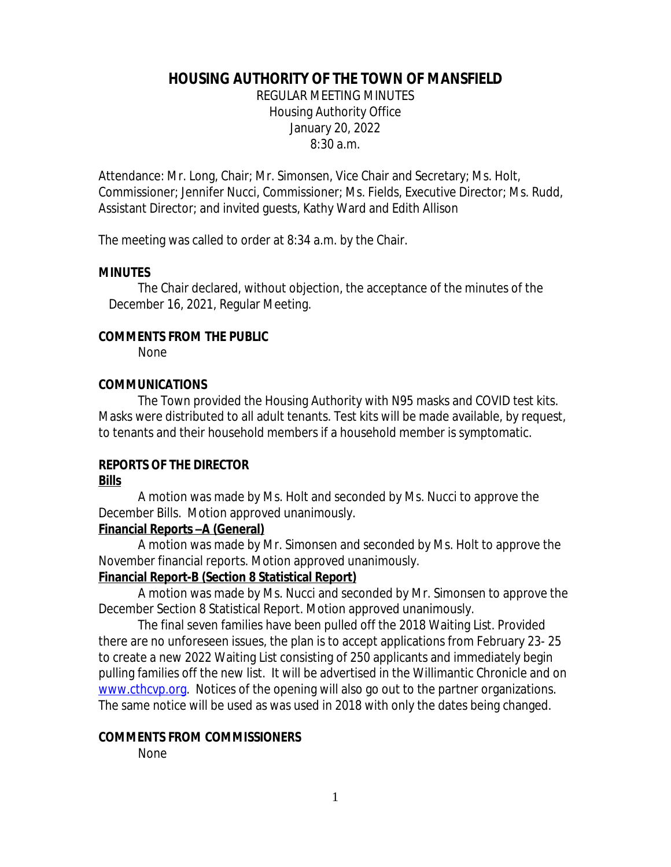## **HOUSING AUTHORITY OF THE TOWN OF MANSFIELD**

REGULAR MEETING MINUTES Housing Authority Office January 20, 2022 8:30 a.m.

Attendance: Mr. Long, Chair; Mr. Simonsen, Vice Chair and Secretary; Ms. Holt, Commissioner; Jennifer Nucci, Commissioner; Ms. Fields, Executive Director; Ms. Rudd, Assistant Director; and invited guests, Kathy Ward and Edith Allison

The meeting was called to order at 8:34 a.m. by the Chair.

#### **MINUTES**

The Chair declared, without objection, the acceptance of the minutes of the December 16, 2021, Regular Meeting.

#### **COMMENTS FROM THE PUBLIC**

None

## **COMMUNICATIONS**

The Town provided the Housing Authority with N95 masks and COVID test kits. Masks were distributed to all adult tenants. Test kits will be made available, by request, to tenants and their household members if a household member is symptomatic.

#### **REPORTS OF THE DIRECTOR Bills**

A motion was made by Ms. Holt and seconded by Ms. Nucci to approve the December Bills. Motion approved unanimously.

#### **Financial Reports –A (General)**

A motion was made by Mr. Simonsen and seconded by Ms. Holt to approve the November financial reports. Motion approved unanimously.

## **Financial Report-B (Section 8 Statistical Report)**

A motion was made by Ms. Nucci and seconded by Mr. Simonsen to approve the December Section 8 Statistical Report. Motion approved unanimously.

The final seven families have been pulled off the 2018 Waiting List. Provided there are no unforeseen issues, the plan is to accept applications from February 23- 25 to create a new 2022 Waiting List consisting of 250 applicants and immediately begin pulling families off the new list. It will be advertised in the Willimantic Chronicle and on [www.cthcvp.org](http://www.cthcvp.org). Notices of the opening will also go out to the partner organizations. The same notice will be used as was used in 2018 with only the dates being changed.

#### **COMMENTS FROM COMMISSIONERS**

None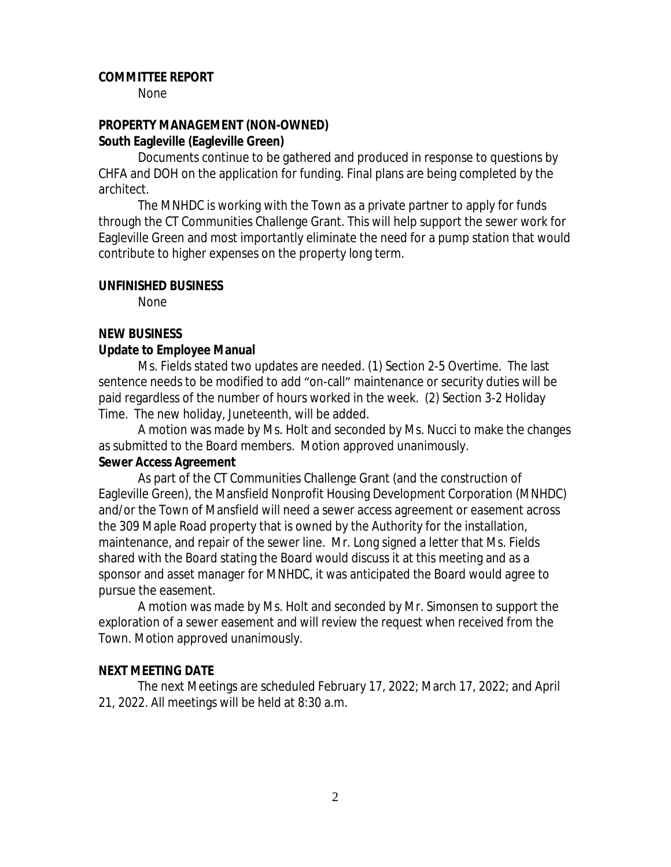#### **COMMITTEE REPORT**

None

#### **PROPERTY MANAGEMENT (NON-OWNED) South Eagleville (Eagleville Green)**

Documents continue to be gathered and produced in response to questions by CHFA and DOH on the application for funding. Final plans are being completed by the architect.

The MNHDC is working with the Town as a private partner to apply for funds through the CT Communities Challenge Grant. This will help support the sewer work for Eagleville Green and most importantly eliminate the need for a pump station that would contribute to higher expenses on the property long term.

#### **UNFINISHED BUSINESS**

None

#### **NEW BUSINESS**

#### **Update to Employee Manual**

Ms. Fields stated two updates are needed. (1) Section 2-5 Overtime. The last sentence needs to be modified to add "on-call" maintenance or security duties will be paid regardless of the number of hours worked in the week. (2) Section 3-2 Holiday Time. The new holiday, Juneteenth, will be added.

A motion was made by Ms. Holt and seconded by Ms. Nucci to make the changes as submitted to the Board members. Motion approved unanimously.

#### **Sewer Access Agreement**

As part of the CT Communities Challenge Grant (and the construction of Eagleville Green), the Mansfield Nonprofit Housing Development Corporation (MNHDC) and/or the Town of Mansfield will need a sewer access agreement or easement across the 309 Maple Road property that is owned by the Authority for the installation, maintenance, and repair of the sewer line. Mr. Long signed a letter that Ms. Fields shared with the Board stating the Board would discuss it at this meeting and as a sponsor and asset manager for MNHDC, it was anticipated the Board would agree to pursue the easement.

A motion was made by Ms. Holt and seconded by Mr. Simonsen to support the exploration of a sewer easement and will review the request when received from the Town. Motion approved unanimously.

#### **NEXT MEETING DATE**

The next Meetings are scheduled February 17, 2022; March 17, 2022; and April 21, 2022. All meetings will be held at 8:30 a.m.